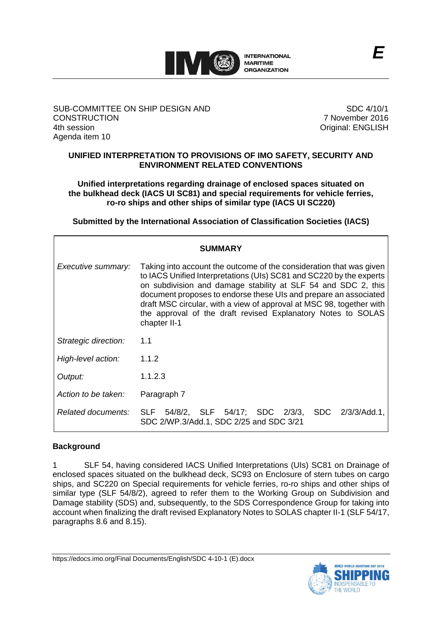

## SUB-COMMITTEE ON SHIP DESIGN AND **CONSTRUCTION** 4th session Agenda item 10

SDC 4/10/1 7 November 2016 Original: ENGLISH

## **UNIFIED INTERPRETATION TO PROVISIONS OF IMO SAFETY, SECURITY AND ENVIRONMENT RELATED CONVENTIONS**

#### **Unified interpretations regarding drainage of enclosed spaces situated on the bulkhead deck (IACS UI SC81) and special requirements for vehicle ferries, ro-ro ships and other ships of similar type (IACS UI SC220)**

**Submitted by the International Association of Classification Societies (IACS)**

| SUMMARY              |                                                                                                                                                                                                                                                                                                                                                                                                                                         |
|----------------------|-----------------------------------------------------------------------------------------------------------------------------------------------------------------------------------------------------------------------------------------------------------------------------------------------------------------------------------------------------------------------------------------------------------------------------------------|
| Executive summary:   | Taking into account the outcome of the consideration that was given<br>to IACS Unified Interpretations (UIs) SC81 and SC220 by the experts<br>on subdivision and damage stability at SLF 54 and SDC 2, this<br>document proposes to endorse these UIs and prepare an associated<br>draft MSC circular, with a view of approval at MSC 98, together with<br>the approval of the draft revised Explanatory Notes to SOLAS<br>chapter II-1 |
| Strategic direction: | 1.1                                                                                                                                                                                                                                                                                                                                                                                                                                     |
| High-level action:   | 1.1.2                                                                                                                                                                                                                                                                                                                                                                                                                                   |
| Output:              | 1.1.2.3                                                                                                                                                                                                                                                                                                                                                                                                                                 |
| Action to be taken:  | Paragraph 7                                                                                                                                                                                                                                                                                                                                                                                                                             |
| Related documents:   | SLF 54/8/2, SLF 54/17; SDC 2/3/3,<br>SDC<br>2/3/3/Add.1,<br>SDC 2/WP.3/Add.1, SDC 2/25 and SDC 3/21                                                                                                                                                                                                                                                                                                                                     |

# **Background**

1 SLF 54, having considered IACS Unified Interpretations (UIs) SC81 on Drainage of enclosed spaces situated on the bulkhead deck, SC93 on Enclosure of stern tubes on cargo ships, and SC220 on Special requirements for vehicle ferries, ro-ro ships and other ships of similar type (SLF 54/8/2), agreed to refer them to the Working Group on Subdivision and Damage stability (SDS) and, subsequently, to the SDS Correspondence Group for taking into account when finalizing the draft revised Explanatory Notes to SOLAS chapter II-1 (SLF 54/17, paragraphs 8.6 and 8.15).

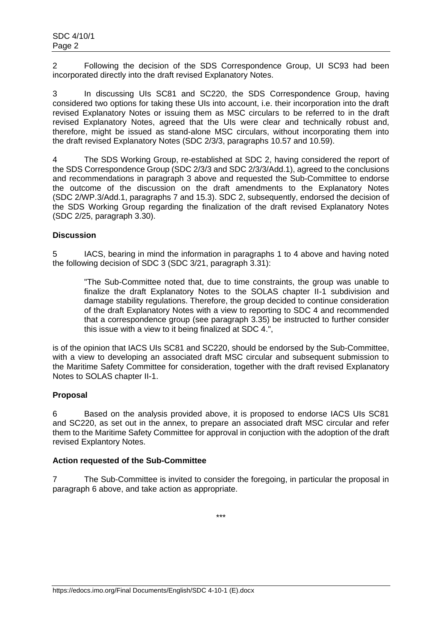2 Following the decision of the SDS Correspondence Group, UI SC93 had been incorporated directly into the draft revised Explanatory Notes.

3 In discussing UIs SC81 and SC220, the SDS Correspondence Group, having considered two options for taking these UIs into account, i.e. their incorporation into the draft revised Explanatory Notes or issuing them as MSC circulars to be referred to in the draft revised Explanatory Notes, agreed that the UIs were clear and technically robust and, therefore, might be issued as stand-alone MSC circulars, without incorporating them into the draft revised Explanatory Notes (SDC 2/3/3, paragraphs 10.57 and 10.59).

4 The SDS Working Group, re-established at SDC 2, having considered the report of the SDS Correspondence Group (SDC 2/3/3 and SDC 2/3/3/Add.1), agreed to the conclusions and recommendations in paragraph 3 above and requested the Sub-Committee to endorse the outcome of the discussion on the draft amendments to the Explanatory Notes (SDC 2/WP.3/Add.1, paragraphs 7 and 15.3). SDC 2, subsequently, endorsed the decision of the SDS Working Group regarding the finalization of the draft revised Explanatory Notes (SDC 2/25, paragraph 3.30).

## **Discussion**

5 IACS, bearing in mind the information in paragraphs 1 to 4 above and having noted the following decision of SDC 3 (SDC 3/21, paragraph 3.31):

"The Sub-Committee noted that, due to time constraints, the group was unable to finalize the draft Explanatory Notes to the SOLAS chapter II-1 subdivision and damage stability regulations. Therefore, the group decided to continue consideration of the draft Explanatory Notes with a view to reporting to SDC 4 and recommended that a correspondence group (see paragraph 3.35) be instructed to further consider this issue with a view to it being finalized at SDC 4.",

is of the opinion that IACS UIs SC81 and SC220, should be endorsed by the Sub-Committee, with a view to developing an associated draft MSC circular and subsequent submission to the Maritime Safety Committee for consideration, together with the draft revised Explanatory Notes to SOLAS chapter II-1.

## **Proposal**

6 Based on the analysis provided above, it is proposed to endorse IACS UIs SC81 and SC220, as set out in the annex, to prepare an associated draft MSC circular and refer them to the Maritime Safety Committee for approval in conjuction with the adoption of the draft revised Explantory Notes.

## **Action requested of the Sub-Committee**

7 The Sub-Committee is invited to consider the foregoing, in particular the proposal in paragraph 6 above, and take action as appropriate.

\*\*\*